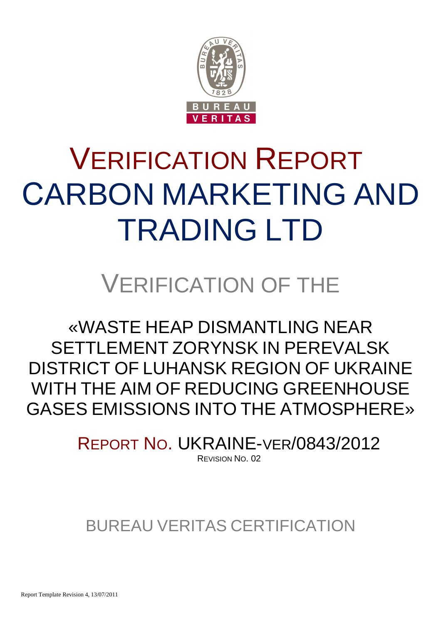

# VERIFICATION REPORT СARBON MARKETING AND TRADING LTD

## VERIFICATION OF THE

«WASTE HEAP DISMANTLING NEAR SETTLEMENT ZORYNSK IN PEREVALSK DISTRICT OF LUHANSK REGION OF UKRAINE WITH THE AIM OF REDUCING GREENHOUSE GASES EMISSIONS INTO THE ATMOSPHERE»

> REPORT NO. UKRAINE-VER/0843/2012 REVISION NO. 02

### BUREAU VERITAS CERTIFICATION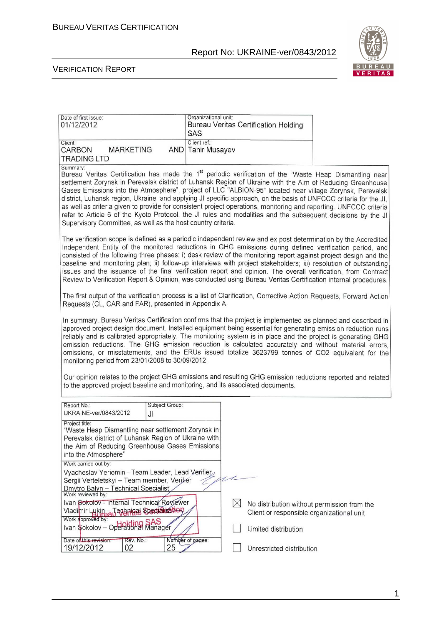

#### VERIFICATION REPORT

| SAS          |                                                                                                                                                                                                                                                                                                                                                                                                                                                             |                                                                                                                                                                      |                                                                                                                                                                                                                                                                                                                                                                                                                                                                                                                                                                                                                                                                                                                                                                                                                                                                                                                                                                                                                                                                                                                                                                                                                                                                                                                                                                                                                                                                                                                                                                                                                                                                                                                                                                                                                                                                                                                                                                                                                                                                                                                                                                                                                                                                                                                                                                                                                                                                                                        |
|--------------|-------------------------------------------------------------------------------------------------------------------------------------------------------------------------------------------------------------------------------------------------------------------------------------------------------------------------------------------------------------------------------------------------------------------------------------------------------------|----------------------------------------------------------------------------------------------------------------------------------------------------------------------|--------------------------------------------------------------------------------------------------------------------------------------------------------------------------------------------------------------------------------------------------------------------------------------------------------------------------------------------------------------------------------------------------------------------------------------------------------------------------------------------------------------------------------------------------------------------------------------------------------------------------------------------------------------------------------------------------------------------------------------------------------------------------------------------------------------------------------------------------------------------------------------------------------------------------------------------------------------------------------------------------------------------------------------------------------------------------------------------------------------------------------------------------------------------------------------------------------------------------------------------------------------------------------------------------------------------------------------------------------------------------------------------------------------------------------------------------------------------------------------------------------------------------------------------------------------------------------------------------------------------------------------------------------------------------------------------------------------------------------------------------------------------------------------------------------------------------------------------------------------------------------------------------------------------------------------------------------------------------------------------------------------------------------------------------------------------------------------------------------------------------------------------------------------------------------------------------------------------------------------------------------------------------------------------------------------------------------------------------------------------------------------------------------------------------------------------------------------------------------------------------------|
| Client ref.: |                                                                                                                                                                                                                                                                                                                                                                                                                                                             |                                                                                                                                                                      |                                                                                                                                                                                                                                                                                                                                                                                                                                                                                                                                                                                                                                                                                                                                                                                                                                                                                                                                                                                                                                                                                                                                                                                                                                                                                                                                                                                                                                                                                                                                                                                                                                                                                                                                                                                                                                                                                                                                                                                                                                                                                                                                                                                                                                                                                                                                                                                                                                                                                                        |
|              |                                                                                                                                                                                                                                                                                                                                                                                                                                                             |                                                                                                                                                                      |                                                                                                                                                                                                                                                                                                                                                                                                                                                                                                                                                                                                                                                                                                                                                                                                                                                                                                                                                                                                                                                                                                                                                                                                                                                                                                                                                                                                                                                                                                                                                                                                                                                                                                                                                                                                                                                                                                                                                                                                                                                                                                                                                                                                                                                                                                                                                                                                                                                                                                        |
|              |                                                                                                                                                                                                                                                                                                                                                                                                                                                             |                                                                                                                                                                      |                                                                                                                                                                                                                                                                                                                                                                                                                                                                                                                                                                                                                                                                                                                                                                                                                                                                                                                                                                                                                                                                                                                                                                                                                                                                                                                                                                                                                                                                                                                                                                                                                                                                                                                                                                                                                                                                                                                                                                                                                                                                                                                                                                                                                                                                                                                                                                                                                                                                                                        |
|              |                                                                                                                                                                                                                                                                                                                                                                                                                                                             |                                                                                                                                                                      |                                                                                                                                                                                                                                                                                                                                                                                                                                                                                                                                                                                                                                                                                                                                                                                                                                                                                                                                                                                                                                                                                                                                                                                                                                                                                                                                                                                                                                                                                                                                                                                                                                                                                                                                                                                                                                                                                                                                                                                                                                                                                                                                                                                                                                                                                                                                                                                                                                                                                                        |
|              |                                                                                                                                                                                                                                                                                                                                                                                                                                                             |                                                                                                                                                                      |                                                                                                                                                                                                                                                                                                                                                                                                                                                                                                                                                                                                                                                                                                                                                                                                                                                                                                                                                                                                                                                                                                                                                                                                                                                                                                                                                                                                                                                                                                                                                                                                                                                                                                                                                                                                                                                                                                                                                                                                                                                                                                                                                                                                                                                                                                                                                                                                                                                                                                        |
|              |                                                                                                                                                                                                                                                                                                                                                                                                                                                             |                                                                                                                                                                      |                                                                                                                                                                                                                                                                                                                                                                                                                                                                                                                                                                                                                                                                                                                                                                                                                                                                                                                                                                                                                                                                                                                                                                                                                                                                                                                                                                                                                                                                                                                                                                                                                                                                                                                                                                                                                                                                                                                                                                                                                                                                                                                                                                                                                                                                                                                                                                                                                                                                                                        |
|              |                                                                                                                                                                                                                                                                                                                                                                                                                                                             |                                                                                                                                                                      |                                                                                                                                                                                                                                                                                                                                                                                                                                                                                                                                                                                                                                                                                                                                                                                                                                                                                                                                                                                                                                                                                                                                                                                                                                                                                                                                                                                                                                                                                                                                                                                                                                                                                                                                                                                                                                                                                                                                                                                                                                                                                                                                                                                                                                                                                                                                                                                                                                                                                                        |
|              |                                                                                                                                                                                                                                                                                                                                                                                                                                                             |                                                                                                                                                                      |                                                                                                                                                                                                                                                                                                                                                                                                                                                                                                                                                                                                                                                                                                                                                                                                                                                                                                                                                                                                                                                                                                                                                                                                                                                                                                                                                                                                                                                                                                                                                                                                                                                                                                                                                                                                                                                                                                                                                                                                                                                                                                                                                                                                                                                                                                                                                                                                                                                                                                        |
|              |                                                                                                                                                                                                                                                                                                                                                                                                                                                             |                                                                                                                                                                      |                                                                                                                                                                                                                                                                                                                                                                                                                                                                                                                                                                                                                                                                                                                                                                                                                                                                                                                                                                                                                                                                                                                                                                                                                                                                                                                                                                                                                                                                                                                                                                                                                                                                                                                                                                                                                                                                                                                                                                                                                                                                                                                                                                                                                                                                                                                                                                                                                                                                                                        |
|              |                                                                                                                                                                                                                                                                                                                                                                                                                                                             |                                                                                                                                                                      |                                                                                                                                                                                                                                                                                                                                                                                                                                                                                                                                                                                                                                                                                                                                                                                                                                                                                                                                                                                                                                                                                                                                                                                                                                                                                                                                                                                                                                                                                                                                                                                                                                                                                                                                                                                                                                                                                                                                                                                                                                                                                                                                                                                                                                                                                                                                                                                                                                                                                                        |
|              |                                                                                                                                                                                                                                                                                                                                                                                                                                                             |                                                                                                                                                                      |                                                                                                                                                                                                                                                                                                                                                                                                                                                                                                                                                                                                                                                                                                                                                                                                                                                                                                                                                                                                                                                                                                                                                                                                                                                                                                                                                                                                                                                                                                                                                                                                                                                                                                                                                                                                                                                                                                                                                                                                                                                                                                                                                                                                                                                                                                                                                                                                                                                                                                        |
|              | $\boxtimes$                                                                                                                                                                                                                                                                                                                                                                                                                                                 |                                                                                                                                                                      |                                                                                                                                                                                                                                                                                                                                                                                                                                                                                                                                                                                                                                                                                                                                                                                                                                                                                                                                                                                                                                                                                                                                                                                                                                                                                                                                                                                                                                                                                                                                                                                                                                                                                                                                                                                                                                                                                                                                                                                                                                                                                                                                                                                                                                                                                                                                                                                                                                                                                                        |
|              |                                                                                                                                                                                                                                                                                                                                                                                                                                                             |                                                                                                                                                                      |                                                                                                                                                                                                                                                                                                                                                                                                                                                                                                                                                                                                                                                                                                                                                                                                                                                                                                                                                                                                                                                                                                                                                                                                                                                                                                                                                                                                                                                                                                                                                                                                                                                                                                                                                                                                                                                                                                                                                                                                                                                                                                                                                                                                                                                                                                                                                                                                                                                                                                        |
|              |                                                                                                                                                                                                                                                                                                                                                                                                                                                             |                                                                                                                                                                      |                                                                                                                                                                                                                                                                                                                                                                                                                                                                                                                                                                                                                                                                                                                                                                                                                                                                                                                                                                                                                                                                                                                                                                                                                                                                                                                                                                                                                                                                                                                                                                                                                                                                                                                                                                                                                                                                                                                                                                                                                                                                                                                                                                                                                                                                                                                                                                                                                                                                                                        |
|              | AND<br>monitoring period from 23/01/2008 to 30/09/2012.<br>Subject Group:<br>"Waste Heap Dismantling near settlement Zorynsk in<br>Perevalsk district of Luhansk Region of Ukraine with<br>the Aim of Reducing Greenhouse Gases Emissions<br>Vyacheslav Yeriomin - Team Leader, Lead Verifier<br>Sergii Verteletskyi - Team member, Verjfier<br>Ivan Sokolov - Internal Technical Reviewer<br>Vladimir Lukin - Technical Specialisation<br>Number of pages: | Organizational unit:<br><b>Tahir Musayev</b><br>Supervisory Committee, as well as the host country criteria.<br>Requests (CL, CAR and FAR), presented in Appendix A. | <b>Bureau Veritas Certification Holding</b><br>Bureau Veritas Certification has made the 1 <sup>st</sup> periodic verification of the "Waste Heap Dismantling near<br>settlement Zorynsk in Perevalsk district of Luhansk Region of Ukraine with the Aim of Reducing Greenhouse<br>Gases Emissions into the Atmosphere", project of LLC "ALBION-95" located near village Zorynsk, Perevalsk<br>district, Luhansk region, Ukraine, and applying JI specific approach, on the basis of UNFCCC criteria for the JI.<br>as well as criteria given to provide for consistent project operations, monitoring and reporting. UNFCCC criteria<br>refer to Article 6 of the Kyoto Protocol, the JI rules and modalities and the subsequent decisions by the JI<br>The verification scope is defined as a periodic independent review and ex post determination by the Accredited<br>Independent Entity of the monitored reductions in GHG emissions during defined verification period, and<br>consisted of the following three phases: i) desk review of the monitoring report against project design and the<br>baseline and monitoring plan; ii) follow-up interviews with project stakeholders; iii) resolution of outstanding<br>issues and the issuance of the final verification report and opinion. The overall verification, from Contract<br>Review to Verification Report & Opinion, was conducted using Bureau Veritas Certification internal procedures.<br>The first output of the verification process is a list of Clarification, Corrective Action Requests, Forward Action<br>In summary. Bureau Veritas Certification confirms that the project is implemented as planned and described in<br>approved project design document. Installed equipment being essential for generating emission reduction runs<br>reliably and is calibrated appropriately. The monitoring system is in place and the project is generating GHG<br>emission reductions. The GHG emission reduction is calculated accurately and without material errors,<br>omissions, or misstatements, and the ERUs issued totalize 3623799 tonnes of CO2 equivalent for the<br>Our opinion relates to the project GHG emissions and resulting GHG emission reductions reported and related<br>to the approved project baseline and monitoring, and its associated documents.<br>No distribution without permission from the<br>Client or responsible organizational unit<br>Limited distribution<br>Unrestricted distribution |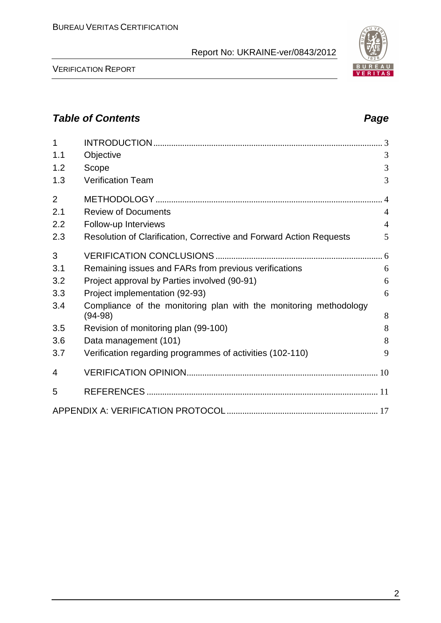

VERIFICATION REPORT

#### **Table of Contents Page 2014**

| 1              |                                                                     |                |
|----------------|---------------------------------------------------------------------|----------------|
| 1.1            | Objective                                                           | 3              |
| 1.2            | Scope                                                               | 3              |
| 1.3            | <b>Verification Team</b>                                            | 3              |
| $\overline{2}$ |                                                                     |                |
| 2.1            | <b>Review of Documents</b>                                          | $\overline{4}$ |
| 2.2            | Follow-up Interviews                                                | $\overline{4}$ |
| 2.3            | Resolution of Clarification, Corrective and Forward Action Requests | 5              |
| 3              |                                                                     |                |
| 3.1            | Remaining issues and FARs from previous verifications               | 6              |
| 3.2            | Project approval by Parties involved (90-91)                        | 6              |
| 3.3            | Project implementation (92-93)                                      | 6              |
| 3.4            | Compliance of the monitoring plan with the monitoring methodology   | 8              |
|                | $(94-98)$                                                           |                |
| 3.5            | Revision of monitoring plan (99-100)                                | 8              |
| 3.6            | Data management (101)                                               | 8              |
| 3.7            | Verification regarding programmes of activities (102-110)           | 9              |
| 4              |                                                                     |                |
| 5              |                                                                     |                |
|                |                                                                     |                |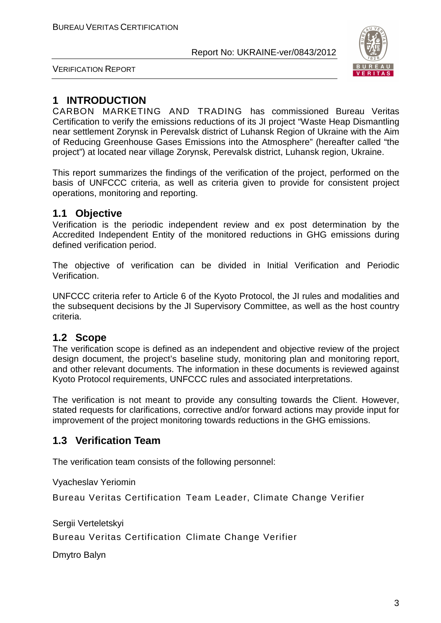

VERIFICATION REPORT

#### **1 INTRODUCTION**

СARBON MARKETING AND TRADING has commissioned Bureau Veritas Certification to verify the emissions reductions of its JI project "Waste Heap Dismantling near settlement Zorynsk in Perevalsk district of Luhansk Region of Ukraine with the Aim of Reducing Greenhouse Gases Emissions into the Atmosphere" (hereafter called "the project") at located near village Zorynsk, Perevalsk district, Luhansk region, Ukraine.

This report summarizes the findings of the verification of the project, performed on the basis of UNFCCC criteria, as well as criteria given to provide for consistent project operations, monitoring and reporting.

#### **1.1 Objective**

Verification is the periodic independent review and ex post determination by the Accredited Independent Entity of the monitored reductions in GHG emissions during defined verification period.

The objective of verification can be divided in Initial Verification and Periodic Verification.

UNFCCC criteria refer to Article 6 of the Kyoto Protocol, the JI rules and modalities and the subsequent decisions by the JI Supervisory Committee, as well as the host country criteria.

#### **1.2 Scope**

The verification scope is defined as an independent and objective review of the project design document, the project's baseline study, monitoring plan and monitoring report, and other relevant documents. The information in these documents is reviewed against Kyoto Protocol requirements, UNFCCC rules and associated interpretations.

The verification is not meant to provide any consulting towards the Client. However, stated requests for clarifications, corrective and/or forward actions may provide input for improvement of the project monitoring towards reductions in the GHG emissions.

#### **1.3 Verification Team**

The verification team consists of the following personnel:

Vyacheslav Yeriomin

Bureau Veritas Certification Team Leader, Climate Change Verifier

Sergii Verteletskyi

Bureau Veritas Certification Climate Change Verifier

Dmytro Balyn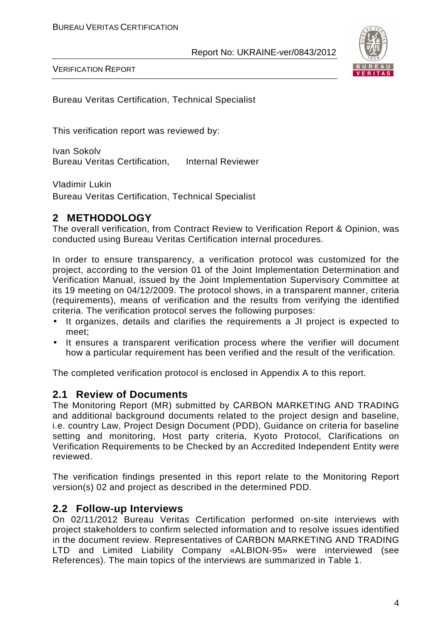

VERIFICATION REPORT

Bureau Veritas Certification, Technical Specialist

This verification report was reviewed by:

Ivan Sokolv Bureau Veritas Certification, Internal Reviewer

Vladimir Lukin

Bureau Veritas Certification, Technical Specialist

#### **2 METHODOLOGY**

The overall verification, from Contract Review to Verification Report & Opinion, was conducted using Bureau Veritas Certification internal procedures.

In order to ensure transparency, a verification protocol was customized for the project, according to the version 01 of the Joint Implementation Determination and Verification Manual, issued by the Joint Implementation Supervisory Committee at its 19 meeting on 04/12/2009. The protocol shows, in a transparent manner, criteria (requirements), means of verification and the results from verifying the identified criteria. The verification protocol serves the following purposes:

- It organizes, details and clarifies the requirements a JI project is expected to meet;
- It ensures a transparent verification process where the verifier will document how a particular requirement has been verified and the result of the verification.

The completed verification protocol is enclosed in Appendix A to this report.

#### **2.1 Review of Documents**

The Monitoring Report (MR) submitted by СARBON MARKETING AND TRADING and additional background documents related to the project design and baseline, i.e. country Law, Project Design Document (PDD), Guidance on criteria for baseline setting and monitoring, Host party criteria, Kyoto Protocol, Clarifications on Verification Requirements to be Checked by an Accredited Independent Entity were reviewed.

The verification findings presented in this report relate to the Monitoring Report version(s) 02 and project as described in the determined PDD.

#### **2.2 Follow-up Interviews**

On 02/11/2012 Bureau Veritas Certification performed on-site interviews with project stakeholders to confirm selected information and to resolve issues identified in the document review. Representatives of СARBON MARKETING AND TRADING LTD and Limited Liability Company «ALBION-95» were interviewed (see References). The main topics of the interviews are summarized in Table 1.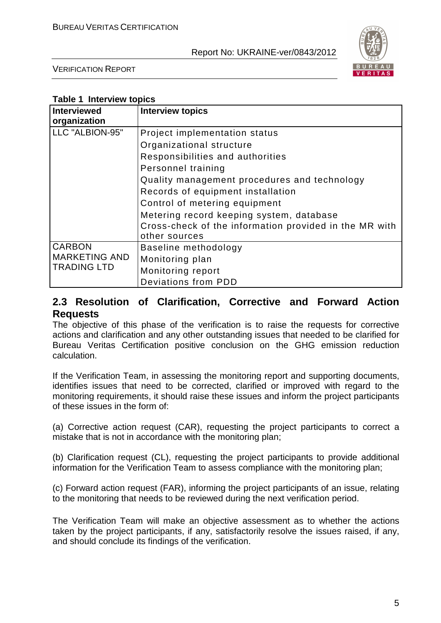

VERIFICATION REPORT

| Interviewed          | <b>Interview topics</b>                                |
|----------------------|--------------------------------------------------------|
| organization         |                                                        |
| LLC "ALBION-95"      | Project implementation status                          |
|                      | Organizational structure                               |
|                      | Responsibilities and authorities                       |
|                      | Personnel training                                     |
|                      | Quality management procedures and technology           |
|                      | Records of equipment installation                      |
|                      | Control of metering equipment                          |
|                      | Metering record keeping system, database               |
|                      | Cross-check of the information provided in the MR with |
|                      | other sources                                          |
| <b>CARBON</b>        | Baseline methodology                                   |
| <b>MARKETING AND</b> | Monitoring plan                                        |
| <b>TRADING LTD</b>   | Monitoring report                                      |
|                      | <b>Deviations from PDD</b>                             |

#### **2.3 Resolution of Clarification, Corrective and Forward Action Requests**

The objective of this phase of the verification is to raise the requests for corrective actions and clarification and any other outstanding issues that needed to be clarified for Bureau Veritas Certification positive conclusion on the GHG emission reduction calculation.

If the Verification Team, in assessing the monitoring report and supporting documents, identifies issues that need to be corrected, clarified or improved with regard to the monitoring requirements, it should raise these issues and inform the project participants of these issues in the form of:

(a) Corrective action request (CAR), requesting the project participants to correct a mistake that is not in accordance with the monitoring plan;

(b) Clarification request (CL), requesting the project participants to provide additional information for the Verification Team to assess compliance with the monitoring plan;

(c) Forward action request (FAR), informing the project participants of an issue, relating to the monitoring that needs to be reviewed during the next verification period.

The Verification Team will make an objective assessment as to whether the actions taken by the project participants, if any, satisfactorily resolve the issues raised, if any, and should conclude its findings of the verification.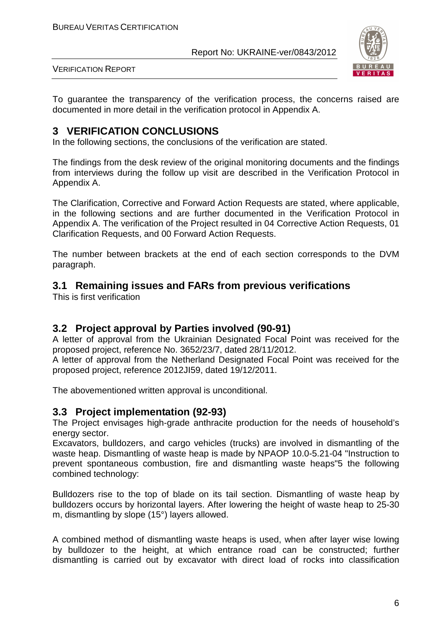

VERIFICATION REPORT

To guarantee the transparency of the verification process, the concerns raised are documented in more detail in the verification protocol in Appendix A.

#### **3 VERIFICATION CONCLUSIONS**

In the following sections, the conclusions of the verification are stated.

The findings from the desk review of the original monitoring documents and the findings from interviews during the follow up visit are described in the Verification Protocol in Appendix A.

The Clarification, Corrective and Forward Action Requests are stated, where applicable, in the following sections and are further documented in the Verification Protocol in Appendix A. The verification of the Project resulted in 04 Corrective Action Requests, 01 Clarification Requests, and 00 Forward Action Requests.

The number between brackets at the end of each section corresponds to the DVM paragraph.

#### **3.1 Remaining issues and FARs from previous verifications**

This is first verification

#### **3.2 Project approval by Parties involved (90-91)**

A letter of approval from the Ukrainian Designated Focal Point was received for the proposed project, reference No. 3652/23/7, dated 28/11/2012.

A letter of approval from the Netherland Designated Focal Point was received for the proposed project, reference 2012JI59, dated 19/12/2011.

The abovementioned written approval is unconditional.

#### **3.3 Project implementation (92-93)**

The Project envisages high-grade anthracite production for the needs of household's energy sector.

Excavators, bulldozers, and cargo vehicles (trucks) are involved in dismantling of the waste heap. Dismantling of waste heap is made by NPAOP 10.0-5.21-04 "Instruction to prevent spontaneous combustion, fire and dismantling waste heaps"5 the following combined technology:

Bulldozers rise to the top of blade on its tail section. Dismantling of waste heap by bulldozers occurs by horizontal layers. After lowering the height of waste heap to 25-30 m, dismantling by slope (15°) layers allowed.

A combined method of dismantling waste heaps is used, when after layer wise lowing by bulldozer to the height, at which entrance road can be constructed; further dismantling is carried out by excavator with direct load of rocks into classification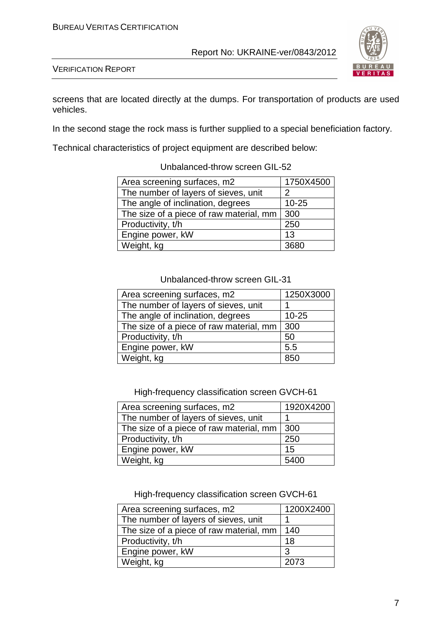

VERIFICATION REPORT

screens that are located directly at the dumps. For transportation of products are used vehicles.

In the second stage the rock mass is further supplied to a special beneficiation factory.

Technical characteristics of project equipment are described below:

| Area screening surfaces, m2             | 1750X4500 |
|-----------------------------------------|-----------|
| The number of layers of sieves, unit    | 2         |
| The angle of inclination, degrees       | $10 - 25$ |
| The size of a piece of raw material, mm | 300       |
| Productivity, t/h                       | 250       |
| Engine power, kW                        | 13        |
| Weight, kg                              |           |

#### Unbalanced-throw screen GIL-52

#### Unbalanced-throw screen GIL-31

| Area screening surfaces, m2             | 1250X3000 |
|-----------------------------------------|-----------|
| The number of layers of sieves, unit    |           |
| The angle of inclination, degrees       | $10 - 25$ |
| The size of a piece of raw material, mm | 300       |
| Productivity, t/h                       | 50        |
| Engine power, kW                        | 5.5       |
| Weight, kg                              | 850       |

High-frequency classification screen GVCH-61

| Area screening surfaces, m2             | 1920X4200 |
|-----------------------------------------|-----------|
| The number of layers of sieves, unit    |           |
| The size of a piece of raw material, mm | 300       |
| Productivity, t/h                       | 250       |
| Engine power, kW                        | 15        |
| Weight, kg                              | 5400      |

High-frequency classification screen GVCH-61

| Area screening surfaces, m2             | 1200X2400 |
|-----------------------------------------|-----------|
| The number of layers of sieves, unit    |           |
| The size of a piece of raw material, mm | 140       |
| Productivity, t/h                       | 18        |
| Engine power, kW                        | 3         |
| Weight, kg                              | 2073      |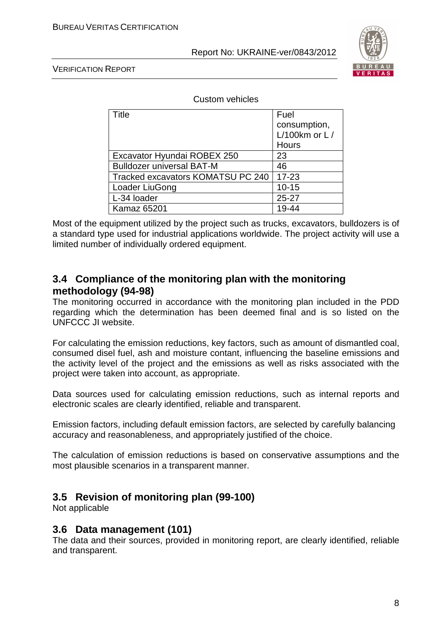

VERIFICATION REPORT

Custom vehicles

| Title                             | Fuel            |
|-----------------------------------|-----------------|
|                                   | consumption,    |
|                                   | L/100km or $L/$ |
|                                   | Hours           |
| Excavator Hyundai ROBEX 250       | 23              |
| <b>Bulldozer universal BAT-M</b>  | 46              |
| Tracked excavators KOMATSU PC 240 | $17 - 23$       |
| Loader LiuGong                    | $10 - 15$       |
| L-34 loader                       | $25 - 27$       |
| <b>Kamaz 65201</b>                | 19-44           |

Most of the equipment utilized by the project such as trucks, excavators, bulldozers is of a standard type used for industrial applications worldwide. The project activity will use a limited number of individually ordered equipment.

#### **3.4 Compliance of the monitoring plan with the monitoring methodology (94-98)**

The monitoring occurred in accordance with the monitoring plan included in the PDD regarding which the determination has been deemed final and is so listed on the UNFCCC JI website.

For calculating the emission reductions, key factors, such as amount of dismantled coal, consumed disel fuel, ash and moisture contant, influencing the baseline emissions and the activity level of the project and the emissions as well as risks associated with the project were taken into account, as appropriate.

Data sources used for calculating emission reductions, such as internal reports and electronic scales are clearly identified, reliable and transparent.

Emission factors, including default emission factors, are selected by carefully balancing accuracy and reasonableness, and appropriately justified of the choice.

The calculation of emission reductions is based on conservative assumptions and the most plausible scenarios in a transparent manner.

#### **3.5 Revision of monitoring plan (99-100)**

Not applicable

#### **3.6 Data management (101)**

The data and their sources, provided in monitoring report, are clearly identified, reliable and transparent.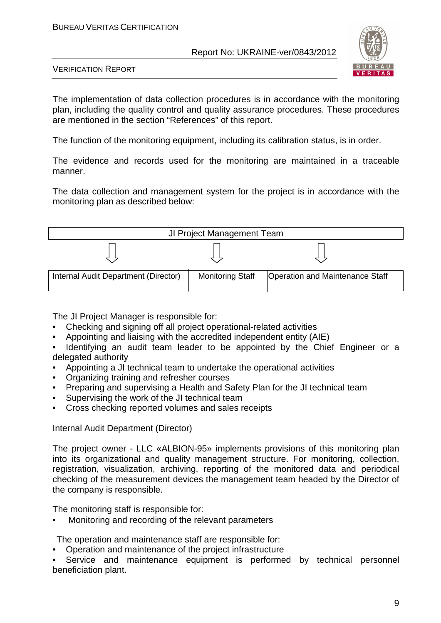

VERIFICATION REPORT

The implementation of data collection procedures is in accordance with the monitoring plan, including the quality control and quality assurance procedures. These procedures are mentioned in the section "References" of this report.

The function of the monitoring equipment, including its calibration status, is in order.

The evidence and records used for the monitoring are maintained in a traceable manner.

The data collection and management system for the project is in accordance with the monitoring plan as described below:



The JI Project Manager is responsible for:

- Checking and signing off all project operational-related activities
- Appointing and liaising with the accredited independent entity (AIE)
- Identifying an audit team leader to be appointed by the Chief Engineer or a delegated authority
- Appointing a JI technical team to undertake the operational activities
- Organizing training and refresher courses
- Preparing and supervising a Health and Safety Plan for the JI technical team
- Supervising the work of the JI technical team
- Cross checking reported volumes and sales receipts

Internal Audit Department (Director)

The project owner - LLC «ALBION-95» implements provisions of this monitoring plan into its organizational and quality management structure. For monitoring, collection, registration, visualization, archiving, reporting of the monitored data and periodical checking of the measurement devices the management team headed by the Director of the company is responsible.

The monitoring staff is responsible for:

• Monitoring and recording of the relevant parameters

The operation and maintenance staff are responsible for:

• Operation and maintenance of the project infrastructure

Service and maintenance equipment is performed by technical personnel beneficiation plant.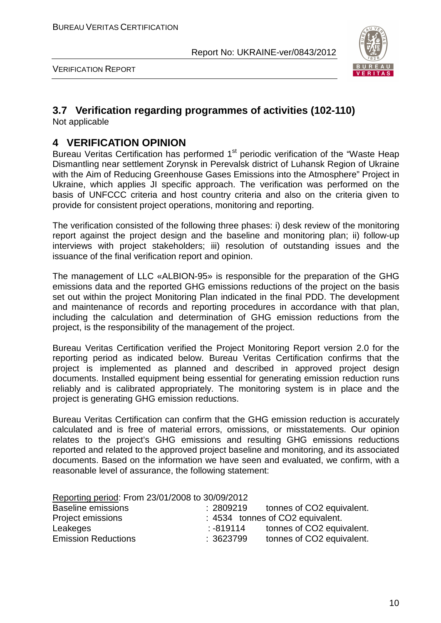

VERIFICATION REPORT

#### **3.7 Verification regarding programmes of activities (102-110)**

Not applicable

#### **4 VERIFICATION OPINION**

Bureau Veritas Certification has performed 1<sup>st</sup> periodic verification of the "Waste Heap Dismantling near settlement Zorynsk in Perevalsk district of Luhansk Region of Ukraine with the Aim of Reducing Greenhouse Gases Emissions into the Atmosphere" Project in Ukraine, which applies JI specific approach. The verification was performed on the basis of UNFCCC criteria and host country criteria and also on the criteria given to provide for consistent project operations, monitoring and reporting.

The verification consisted of the following three phases: i) desk review of the monitoring report against the project design and the baseline and monitoring plan; ii) follow-up interviews with project stakeholders; iii) resolution of outstanding issues and the issuance of the final verification report and opinion.

The management of LLC «ALBION-95» is responsible for the preparation of the GHG emissions data and the reported GHG emissions reductions of the project on the basis set out within the project Monitoring Plan indicated in the final PDD. The development and maintenance of records and reporting procedures in accordance with that plan, including the calculation and determination of GHG emission reductions from the project, is the responsibility of the management of the project.

Bureau Veritas Certification verified the Project Monitoring Report version 2.0 for the reporting period as indicated below. Bureau Veritas Certification confirms that the project is implemented as planned and described in approved project design documents. Installed equipment being essential for generating emission reduction runs reliably and is calibrated appropriately. The monitoring system is in place and the project is generating GHG emission reductions.

Bureau Veritas Certification can confirm that the GHG emission reduction is accurately calculated and is free of material errors, omissions, or misstatements. Our opinion relates to the project's GHG emissions and resulting GHG emissions reductions reported and related to the approved project baseline and monitoring, and its associated documents. Based on the information we have seen and evaluated, we confirm, with a reasonable level of assurance, the following statement:

| Reporting period: From 23/01/2008 to 30/09/2012 |          |                                  |
|-------------------------------------------------|----------|----------------------------------|
| <b>Baseline emissions</b>                       | :2809219 | tonnes of CO2 equivalent.        |
| Project emissions                               |          | : 4534 tonnes of CO2 equivalent. |
| Leakeges                                        | :-819114 | tonnes of CO2 equivalent.        |
| <b>Emission Reductions</b>                      | :3623799 | tonnes of CO2 equivalent.        |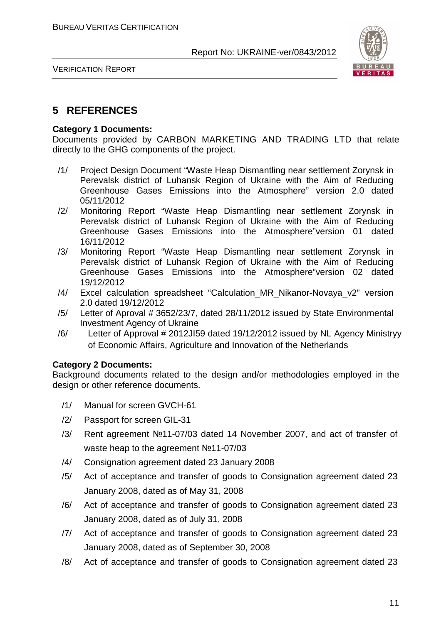

VERIFICATION REPORT

#### **5 REFERENCES**

#### **Category 1 Documents:**

Documents provided by СARBON MARKETING AND TRADING LTD that relate directly to the GHG components of the project.

- /1/ Project Design Document "Waste Heap Dismantling near settlement Zorynsk in Perevalsk district of Luhansk Region of Ukraine with the Aim of Reducing Greenhouse Gases Emissions into the Atmosphere" version 2.0 dated 05/11/2012
- /2/ Monitoring Report "Waste Heap Dismantling near settlement Zorynsk in Perevalsk district of Luhansk Region of Ukraine with the Aim of Reducing Greenhouse Gases Emissions into the Atmosphere"version 01 dated 16/11/2012
- /3/ Monitoring Report "Waste Heap Dismantling near settlement Zorynsk in Perevalsk district of Luhansk Region of Ukraine with the Aim of Reducing Greenhouse Gases Emissions into the Atmosphere"version 02 dated 19/12/2012
- /4/ Excel calculation spreadsheet "Calculation\_MR\_Nikanor-Novaya\_v2" version 2.0 dated 19/12/2012
- /5/ Letter of Aproval # 3652/23/7, dated 28/11/2012 issued by State Environmental Investment Agency of Ukraine
- /6/ Letter of Approval # 2012JI59 dated 19/12/2012 issued by NL Agency Ministryy of Economic Affairs, Agriculture and Innovation of the Netherlands

#### **Category 2 Documents:**

Background documents related to the design and/or methodologies employed in the design or other reference documents.

- /1/ Manual for screen GVCH-61
- /2/ Passport for screen GIL-31
- /3/ Rent agreement №11-07/03 dated 14 November 2007, and act of transfer of waste heap to the agreement №11-07/03
- /4/ Consignation agreement dated 23 January 2008
- /5/ Act of acceptance and transfer of goods to Consignation agreement dated 23 January 2008, dated as of May 31, 2008
- /6/ Act of acceptance and transfer of goods to Consignation agreement dated 23 January 2008, dated as of July 31, 2008
- /7/ Act of acceptance and transfer of goods to Consignation agreement dated 23 January 2008, dated as of September 30, 2008
- /8/ Act of acceptance and transfer of goods to Consignation agreement dated 23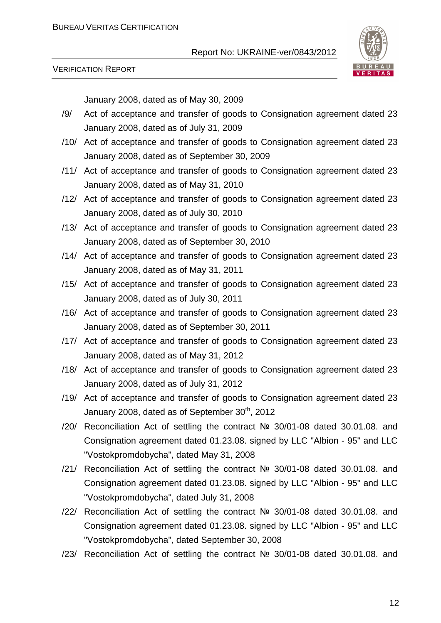

VERIFICATION REPORT

January 2008, dated as of May 30, 2009

- /9/ Act of acceptance and transfer of goods to Consignation agreement dated 23 January 2008, dated as of July 31, 2009
- /10/ Act of acceptance and transfer of goods to Consignation agreement dated 23 January 2008, dated as of September 30, 2009
- /11/ Act of acceptance and transfer of goods to Consignation agreement dated 23 January 2008, dated as of May 31, 2010
- /12/ Act of acceptance and transfer of goods to Consignation agreement dated 23 January 2008, dated as of July 30, 2010
- /13/ Act of acceptance and transfer of goods to Consignation agreement dated 23 January 2008, dated as of September 30, 2010
- /14/ Act of acceptance and transfer of goods to Consignation agreement dated 23 January 2008, dated as of May 31, 2011
- /15/ Act of acceptance and transfer of goods to Consignation agreement dated 23 January 2008, dated as of July 30, 2011
- /16/ Act of acceptance and transfer of goods to Consignation agreement dated 23 January 2008, dated as of September 30, 2011
- /17/ Act of acceptance and transfer of goods to Consignation agreement dated 23 January 2008, dated as of May 31, 2012
- /18/ Act of acceptance and transfer of goods to Consignation agreement dated 23 January 2008, dated as of July 31, 2012
- /19/ Act of acceptance and transfer of goods to Consignation agreement dated 23 January 2008, dated as of September 30<sup>th</sup>, 2012
- /20/ Reconciliation Act of settling the contract № 30/01-08 dated 30.01.08. and Consignation agreement dated 01.23.08. signed by LLC "Albion - 95" and LLC "Vostokpromdobycha", dated May 31, 2008
- /21/ Reconciliation Act of settling the contract № 30/01-08 dated 30.01.08. and Consignation agreement dated 01.23.08. signed by LLC "Albion - 95" and LLC "Vostokpromdobycha", dated July 31, 2008
- /22/ Reconciliation Act of settling the contract № 30/01-08 dated 30.01.08. and Consignation agreement dated 01.23.08. signed by LLC "Albion - 95" and LLC "Vostokpromdobycha", dated September 30, 2008
- /23/ Reconciliation Act of settling the contract № 30/01-08 dated 30.01.08. and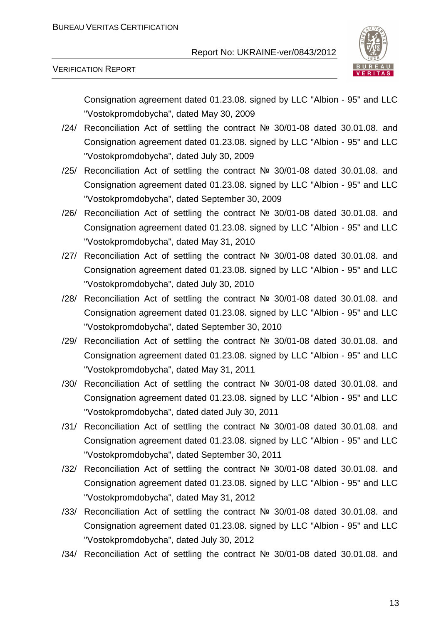

#### VERIFICATION REPORT

Consignation agreement dated 01.23.08. signed by LLC "Albion - 95" and LLC "Vostokpromdobycha", dated May 30, 2009

- /24/ Reconciliation Act of settling the contract № 30/01-08 dated 30.01.08. and Consignation agreement dated 01.23.08. signed by LLC "Albion - 95" and LLC "Vostokpromdobycha", dated July 30, 2009
- /25/ Reconciliation Act of settling the contract № 30/01-08 dated 30.01.08. and Consignation agreement dated 01.23.08. signed by LLC "Albion - 95" and LLC "Vostokpromdobycha", dated September 30, 2009
- /26/ Reconciliation Act of settling the contract № 30/01-08 dated 30.01.08. and Consignation agreement dated 01.23.08. signed by LLC "Albion - 95" and LLC "Vostokpromdobycha", dated May 31, 2010
- /27/ Reconciliation Act of settling the contract № 30/01-08 dated 30.01.08. and Consignation agreement dated 01.23.08. signed by LLC "Albion - 95" and LLC "Vostokpromdobycha", dated July 30, 2010
- /28/ Reconciliation Act of settling the contract № 30/01-08 dated 30.01.08. and Consignation agreement dated 01.23.08. signed by LLC "Albion - 95" and LLC "Vostokpromdobycha", dated September 30, 2010
- /29/ Reconciliation Act of settling the contract № 30/01-08 dated 30.01.08. and Consignation agreement dated 01.23.08. signed by LLC "Albion - 95" and LLC "Vostokpromdobycha", dated May 31, 2011
- /30/ Reconciliation Act of settling the contract № 30/01-08 dated 30.01.08. and Consignation agreement dated 01.23.08. signed by LLC "Albion - 95" and LLC "Vostokpromdobycha", dated dated July 30, 2011
- /31/ Reconciliation Act of settling the contract № 30/01-08 dated 30.01.08. and Consignation agreement dated 01.23.08. signed by LLC "Albion - 95" and LLC "Vostokpromdobycha", dated September 30, 2011
- /32/ Reconciliation Act of settling the contract № 30/01-08 dated 30.01.08. and Consignation agreement dated 01.23.08. signed by LLC "Albion - 95" and LLC "Vostokpromdobycha", dated May 31, 2012
- /33/ Reconciliation Act of settling the contract № 30/01-08 dated 30.01.08. and Consignation agreement dated 01.23.08. signed by LLC "Albion - 95" and LLC "Vostokpromdobycha", dated July 30, 2012
- /34/ Reconciliation Act of settling the contract № 30/01-08 dated 30.01.08. and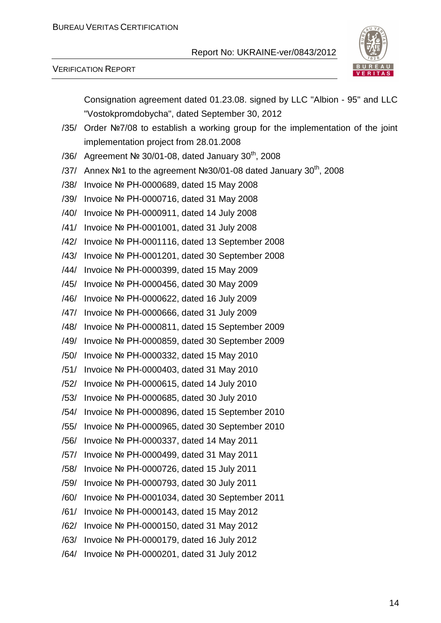

#### VERIFICATION REPORT

Consignation agreement dated 01.23.08. signed by LLC "Albion - 95" and LLC "Vostokpromdobycha", dated September 30, 2012

- /35/ Order №7/08 to establish a working group for the implementation of the joint implementation project from 28.01.2008
- /36/ Agreement № 30/01-08, dated January  $30<sup>th</sup>$ , 2008
- /37/ Annex №1 to the agreement №30/01-08 dated January 30<sup>th</sup>, 2008
- /38/ Invoice № РН-0000689, dated 15 May 2008
- /39/ Invoice № РН-0000716, dated 31 May 2008
- /40/ Invoice № РН-0000911, dated 14 July 2008
- /41/ Invoice № РН-0001001, dated 31 July 2008
- /42/ Invoice № РН-0001116, dated 13 September 2008
- /43/ Invoice № РН-0001201, dated 30 September 2008
- /44/ Invoice № РН-0000399, dated 15 May 2009
- /45/ Invoice № РН-0000456, dated 30 May 2009
- /46/ Invoice № РН-0000622, dated 16 July 2009
- /47/ Invoice № РН-0000666, dated 31 July 2009
- /48/ Invoice № РН-0000811, dated 15 September 2009
- /49/ Invoice № РН-0000859, dated 30 September 2009
- /50/ Invoice № РН-0000332, dated 15 May 2010
- /51/ Invoice № РН-0000403, dated 31 May 2010
- /52/ Invoice № РН-0000615, dated 14 July 2010
- /53/ Invoice № РН-0000685, dated 30 July 2010
- /54/ Invoice № РН-0000896, dated 15 September 2010
- /55/ Invoice № РН-0000965, dated 30 September 2010
- /56/ Invoice № РН-0000337, dated 14 May 2011
- /57/ Invoice № РН-0000499, dated 31 May 2011
- /58/ Invoice № РН-0000726, dated 15 July 2011
- /59/ Invoice № РН-0000793, dated 30 July 2011
- /60/ Invoice № РН-0001034, dated 30 September 2011
- /61/ Invoice № РН-0000143, dated 15 May 2012
- /62/ Invoice № РН-0000150, dated 31 May 2012
- /63/ Invoice № РН-0000179, dated 16 July 2012
- /64/ Invoice № РН-0000201, dated 31 July 2012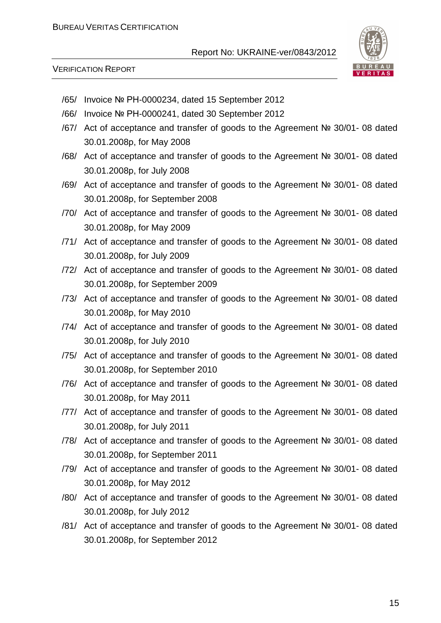

VERIFICATION REPORT

- /65/ Invoice № РН-0000234, dated 15 September 2012
- /66/ Invoice № РН-0000241, dated 30 September 2012
- /67/ Act of acceptance and transfer of goods to the Agreement № 30/01- 08 dated 30.01.2008р, for May 2008
- /68/ Act of acceptance and transfer of goods to the Agreement № 30/01- 08 dated 30.01.2008р, for July 2008
- /69/ Act of acceptance and transfer of goods to the Agreement № 30/01- 08 dated 30.01.2008р, for September 2008
- /70/ Act of acceptance and transfer of goods to the Agreement № 30/01- 08 dated 30.01.2008р, for May 2009
- /71/ Act of acceptance and transfer of goods to the Agreement № 30/01- 08 dated 30.01.2008р, for July 2009
- /72/ Act of acceptance and transfer of goods to the Agreement № 30/01- 08 dated 30.01.2008р, for September 2009
- /73/ Act of acceptance and transfer of goods to the Agreement № 30/01- 08 dated 30.01.2008р, for May 2010
- /74/ Act of acceptance and transfer of goods to the Agreement № 30/01- 08 dated 30.01.2008р, for July 2010
- /75/ Act of acceptance and transfer of goods to the Agreement № 30/01- 08 dated 30.01.2008р, for September 2010
- /76/ Act of acceptance and transfer of goods to the Agreement № 30/01- 08 dated 30.01.2008р, for May 2011
- /77/ Act of acceptance and transfer of goods to the Agreement № 30/01- 08 dated 30.01.2008р, for July 2011
- /78/ Act of acceptance and transfer of goods to the Agreement № 30/01- 08 dated 30.01.2008р, for September 2011
- /79/ Act of acceptance and transfer of goods to the Agreement № 30/01- 08 dated 30.01.2008р, for May 2012
- /80/ Act of acceptance and transfer of goods to the Agreement № 30/01- 08 dated 30.01.2008р, for July 2012
- /81/ Act of acceptance and transfer of goods to the Agreement № 30/01- 08 dated 30.01.2008р, for September 2012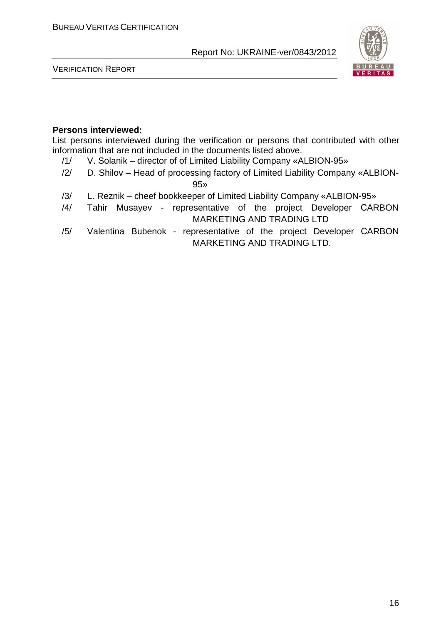

VERIFICATION REPORT

#### **Persons interviewed:**

List persons interviewed during the verification or persons that contributed with other information that are not included in the documents listed above.

- /1/ V. Solanik director of of Limited Liability Company «ALBION-95»
- /2/ D. Shilov Head of processing factory of Limited Liability Company «ALBION-

95»

- /3/ L. Reznik cheef bookkeeper of Limited Liability Company «ALBION-95»
- /4/ Tahir Musayev representative of the project Developer СARBON MARKETING AND TRADING LTD
- /5/ Valentina Bubenok representative of the project Developer СARBON MARKETING AND TRADING LTD.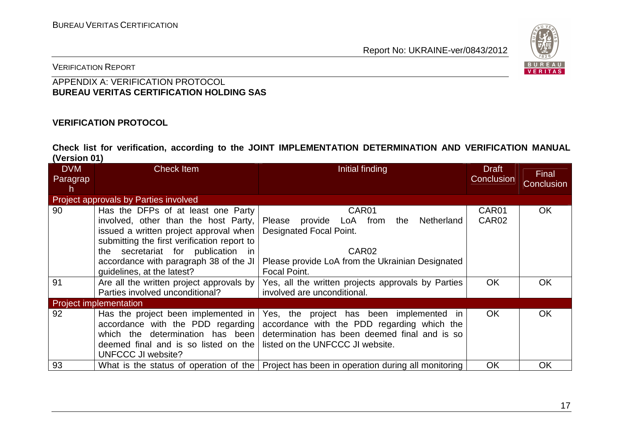

VERIFICATION REPORT

#### APPENDIX A: VERIFICATION PROTOCOL **BUREAU VERITAS CERTIFICATION HOLDING SAS**

#### **VERIFICATION PROTOCOL**

**Check list for verification, according to the JOINT IMPLEMENTATION DETERMINATION AND VERIFICATION MANUAL (Version 01)** 

| <b>DVM</b><br>Paragrap<br>h. | <b>Check Item</b>                                                                                                                                                                                                                                                                 | Initial finding                                                                                                                                                              | <b>Draft</b><br>Conclusion | Final<br>Conclusion |
|------------------------------|-----------------------------------------------------------------------------------------------------------------------------------------------------------------------------------------------------------------------------------------------------------------------------------|------------------------------------------------------------------------------------------------------------------------------------------------------------------------------|----------------------------|---------------------|
|                              | Project approvals by Parties involved                                                                                                                                                                                                                                             |                                                                                                                                                                              |                            |                     |
| 90                           | Has the DFPs of at least one Party<br>involved, other than the host Party,<br>issued a written project approval when<br>submitting the first verification report to<br>the secretariat for publication in<br>accordance with paragraph 38 of the JI<br>guidelines, at the latest? | CAR01<br>provide LoA from<br>the Netherland<br>Please<br>Designated Focal Point.<br>CAR <sub>02</sub><br>Please provide LoA from the Ukrainian Designated<br>Focal Point.    | CAR01<br>CAR <sub>02</sub> | <b>OK</b>           |
| 91                           | Are all the written project approvals by<br>Parties involved unconditional?                                                                                                                                                                                                       | Yes, all the written projects approvals by Parties<br>involved are unconditional.                                                                                            | <b>OK</b>                  | <b>OK</b>           |
|                              | <b>Project implementation</b>                                                                                                                                                                                                                                                     |                                                                                                                                                                              |                            |                     |
| 92                           | Has the project been implemented in<br>accordance with the PDD regarding<br>which the determination has been<br>deemed final and is so listed on the<br><b>UNFCCC JI website?</b>                                                                                                 | Yes, the project has been implemented in<br>accordance with the PDD regarding which the<br>determination has been deemed final and is so<br>listed on the UNFCCC JI website. | OK.                        | <b>OK</b>           |
| 93                           |                                                                                                                                                                                                                                                                                   | What is the status of operation of the   Project has been in operation during all monitoring                                                                                 | OK                         | OK                  |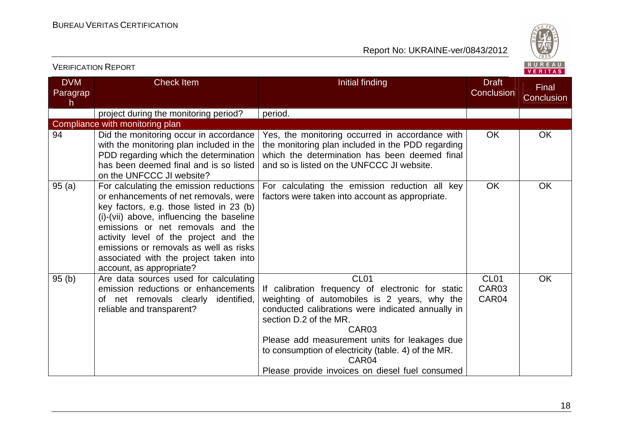

| <b>VERIFICATION REPORT</b>  |                                                                                                                                                                                                                                                                                                                                                                         |                                                                                                                                                                                                                                                                                                                                                                                               |                                                | BUREAU<br><b>VERITAS</b> |
|-----------------------------|-------------------------------------------------------------------------------------------------------------------------------------------------------------------------------------------------------------------------------------------------------------------------------------------------------------------------------------------------------------------------|-----------------------------------------------------------------------------------------------------------------------------------------------------------------------------------------------------------------------------------------------------------------------------------------------------------------------------------------------------------------------------------------------|------------------------------------------------|--------------------------|
| <b>DVM</b><br>Paragrap<br>h | <b>Check Item</b>                                                                                                                                                                                                                                                                                                                                                       | Initial finding                                                                                                                                                                                                                                                                                                                                                                               | <b>Draft</b><br>Conclusion                     | Final<br>Conclusion      |
|                             | project during the monitoring period?                                                                                                                                                                                                                                                                                                                                   | period.                                                                                                                                                                                                                                                                                                                                                                                       |                                                |                          |
|                             | Compliance with monitoring plan                                                                                                                                                                                                                                                                                                                                         |                                                                                                                                                                                                                                                                                                                                                                                               |                                                |                          |
| 94                          | Did the monitoring occur in accordance<br>with the monitoring plan included in the<br>PDD regarding which the determination<br>has been deemed final and is so listed<br>on the UNFCCC JI website?                                                                                                                                                                      | Yes, the monitoring occurred in accordance with<br>the monitoring plan included in the PDD regarding<br>which the determination has been deemed final<br>and so is listed on the UNFCCC JI website.                                                                                                                                                                                           | <b>OK</b>                                      | OK                       |
| 95(a)                       | For calculating the emission reductions<br>or enhancements of net removals, were<br>key factors, e.g. those listed in 23 (b)<br>(i)-(vii) above, influencing the baseline<br>emissions or net removals and the<br>activity level of the project and the<br>emissions or removals as well as risks<br>associated with the project taken into<br>account, as appropriate? | For calculating the emission reduction all key<br>factors were taken into account as appropriate.                                                                                                                                                                                                                                                                                             | <b>OK</b>                                      | <b>OK</b>                |
| 95(b)                       | Are data sources used for calculating<br>emission reductions or enhancements<br>of net removals clearly identified,<br>reliable and transparent?                                                                                                                                                                                                                        | CL <sub>01</sub><br>If calibration frequency of electronic for static<br>weighting of automobiles is 2 years, why the<br>conducted calibrations were indicated annually in<br>section D.2 of the MR.<br>CAR <sub>03</sub><br>Please add measurement units for leakages due<br>to consumption of electricity (table. 4) of the MR.<br>CAR04<br>Please provide invoices on diesel fuel consumed | CL <sub>01</sub><br>CAR <sub>03</sub><br>CAR04 | <b>OK</b>                |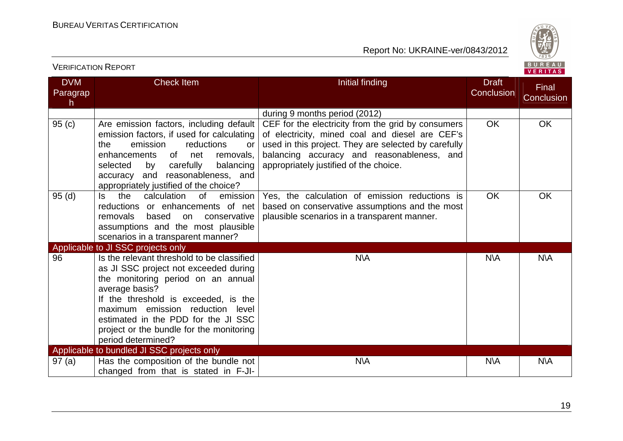VERIFICATION REPORT



| <b>DVM</b>     | Check Item                                                                                                                                                                                                                                                                                                                       | Initial finding                                                                                                                                                                                                                                       | <b>Draft</b> | Final      |  |
|----------------|----------------------------------------------------------------------------------------------------------------------------------------------------------------------------------------------------------------------------------------------------------------------------------------------------------------------------------|-------------------------------------------------------------------------------------------------------------------------------------------------------------------------------------------------------------------------------------------------------|--------------|------------|--|
| Paragrap<br>h. |                                                                                                                                                                                                                                                                                                                                  |                                                                                                                                                                                                                                                       | Conclusion   | Conclusion |  |
|                |                                                                                                                                                                                                                                                                                                                                  | during 9 months period (2012)                                                                                                                                                                                                                         |              |            |  |
| 95(c)          | Are emission factors, including default<br>emission factors, if used for calculating<br>the<br>emission<br>reductions<br>or<br>of<br>enhancements<br>net<br>removals,<br>selected<br>carefully<br>balancing<br>by<br>accuracy and reasonableness, and<br>appropriately justified of the choice?                                  | CEF for the electricity from the grid by consumers<br>of electricity, mined coal and diesel are CEF's<br>used in this project. They are selected by carefully<br>balancing accuracy and reasonableness, and<br>appropriately justified of the choice. | <b>OK</b>    | OK         |  |
| 95(d)          | the<br>calculation<br>ls.<br>0f<br>emission<br>reductions or enhancements of net<br>removals<br>based<br>conservative<br>on<br>assumptions and the most plausible<br>scenarios in a transparent manner?                                                                                                                          | Yes, the calculation of emission reductions is<br>based on conservative assumptions and the most<br>plausible scenarios in a transparent manner.                                                                                                      | <b>OK</b>    | <b>OK</b>  |  |
|                | Applicable to JI SSC projects only                                                                                                                                                                                                                                                                                               |                                                                                                                                                                                                                                                       |              |            |  |
| 96             | Is the relevant threshold to be classified<br>as JI SSC project not exceeded during<br>the monitoring period on an annual<br>average basis?<br>If the threshold is exceeded, is the<br>maximum emission reduction level<br>estimated in the PDD for the JI SSC<br>project or the bundle for the monitoring<br>period determined? | N\A                                                                                                                                                                                                                                                   | N\A          | N\A        |  |
|                | Applicable to bundled JI SSC projects only                                                                                                                                                                                                                                                                                       |                                                                                                                                                                                                                                                       |              |            |  |
| 97(a)          | Has the composition of the bundle not<br>changed from that is stated in F-JI-                                                                                                                                                                                                                                                    | <b>N\A</b>                                                                                                                                                                                                                                            | N\A          | <b>N\A</b> |  |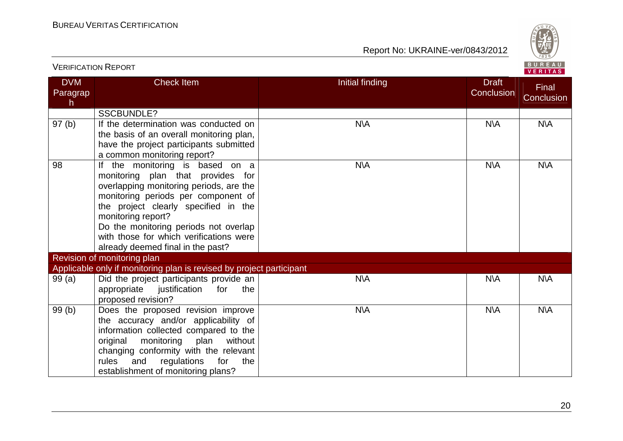

|                             | <b>VERIFICATION REPORT</b>                                                                                                                                                                                                                                                                                                                    |                 |                                   | BUREAU<br>VERITAS   |
|-----------------------------|-----------------------------------------------------------------------------------------------------------------------------------------------------------------------------------------------------------------------------------------------------------------------------------------------------------------------------------------------|-----------------|-----------------------------------|---------------------|
| <b>DVM</b><br>Paragrap<br>h | <b>Check Item</b>                                                                                                                                                                                                                                                                                                                             | Initial finding | <b>Draft</b><br><b>Conclusion</b> | Final<br>Conclusion |
|                             | <b>SSCBUNDLE?</b>                                                                                                                                                                                                                                                                                                                             |                 |                                   |                     |
| 97(b)                       | If the determination was conducted on<br>the basis of an overall monitoring plan,<br>have the project participants submitted<br>a common monitoring report?                                                                                                                                                                                   | N\A             | <b>N\A</b>                        | <b>N\A</b>          |
| 98                          | If the monitoring is based on a<br>monitoring plan that provides for<br>overlapping monitoring periods, are the<br>monitoring periods per component of<br>the project clearly specified in the<br>monitoring report?<br>Do the monitoring periods not overlap<br>with those for which verifications were<br>already deemed final in the past? | <b>N\A</b>      | $N\setminus A$                    | <b>N\A</b>          |
|                             | Revision of monitoring plan                                                                                                                                                                                                                                                                                                                   |                 |                                   |                     |
|                             | Applicable only if monitoring plan is revised by project participant                                                                                                                                                                                                                                                                          |                 |                                   |                     |
| 99(a)                       | Did the project participants provide an<br>appropriate<br>justification<br>for<br>the<br>proposed revision?                                                                                                                                                                                                                                   | <b>N\A</b>      | <b>N\A</b>                        | <b>N\A</b>          |
| 99(b)                       | Does the proposed revision improve<br>the accuracy and/or applicability of<br>information collected compared to the<br>monitoring<br>plan<br>without<br>original<br>changing conformity with the relevant<br>rules<br>and<br>regulations<br>for<br>the<br>establishment of monitoring plans?                                                  | <b>N\A</b>      | <b>N\A</b>                        | <b>N\A</b>          |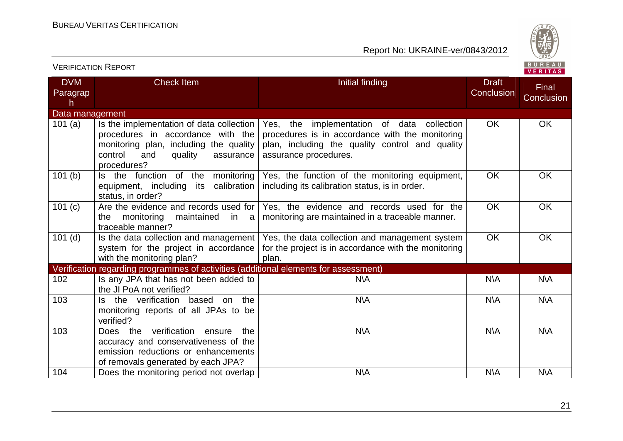

| <b>VERIFICATION REPORT</b>  |                                                                                                                                                                                  |                                                                                                                                                                           |                            | BUREAU<br><b>VERITAS</b> |
|-----------------------------|----------------------------------------------------------------------------------------------------------------------------------------------------------------------------------|---------------------------------------------------------------------------------------------------------------------------------------------------------------------------|----------------------------|--------------------------|
| <b>DVM</b><br>Paragrap<br>h | <b>Check Item</b>                                                                                                                                                                | Initial finding                                                                                                                                                           | <b>Draft</b><br>Conclusion | Final<br>Conclusion      |
| Data management             |                                                                                                                                                                                  |                                                                                                                                                                           |                            |                          |
| 101 $(a)$                   | Is the implementation of data collection<br>procedures in accordance with the<br>monitoring plan, including the quality<br>control<br>and<br>quality<br>assurance<br>procedures? | Yes, the implementation of data collection<br>procedures is in accordance with the monitoring<br>plan, including the quality control and quality<br>assurance procedures. | <b>OK</b>                  | <b>OK</b>                |
| 101(b)                      | Is the function of the monitoring<br>equipment, including its calibration<br>status, in order?                                                                                   | Yes, the function of the monitoring equipment,<br>including its calibration status, is in order.                                                                          | <b>OK</b>                  | <b>OK</b>                |
| 101(c)                      | Are the evidence and records used for<br>monitoring<br>the<br>maintained<br>in a<br>traceable manner?                                                                            | Yes, the evidence and records used for the<br>monitoring are maintained in a traceable manner.                                                                            | <b>OK</b>                  | <b>OK</b>                |
| $101$ (d)                   | Is the data collection and management  <br>system for the project in accordance<br>with the monitoring plan?                                                                     | Yes, the data collection and management system<br>for the project is in accordance with the monitoring<br>plan.                                                           | <b>OK</b>                  | <b>OK</b>                |
|                             | Verification regarding programmes of activities (additional elements for assessment)                                                                                             |                                                                                                                                                                           |                            |                          |
| 102                         | Is any JPA that has not been added to<br>the JI PoA not verified?                                                                                                                | <b>N\A</b>                                                                                                                                                                | <b>N\A</b>                 | <b>N\A</b>               |
| 103                         | Is the verification based on the<br>monitoring reports of all JPAs to be<br>verified?                                                                                            | <b>N\A</b>                                                                                                                                                                | <b>N\A</b>                 | N\A                      |
| 103                         | Does the verification<br>ensure<br>the<br>accuracy and conservativeness of the<br>emission reductions or enhancements<br>of removals generated by each JPA?                      | <b>N\A</b>                                                                                                                                                                | N\A                        | <b>N\A</b>               |
| 104                         | Does the monitoring period not overlap                                                                                                                                           | <b>N\A</b>                                                                                                                                                                | <b>N\A</b>                 | <b>N\A</b>               |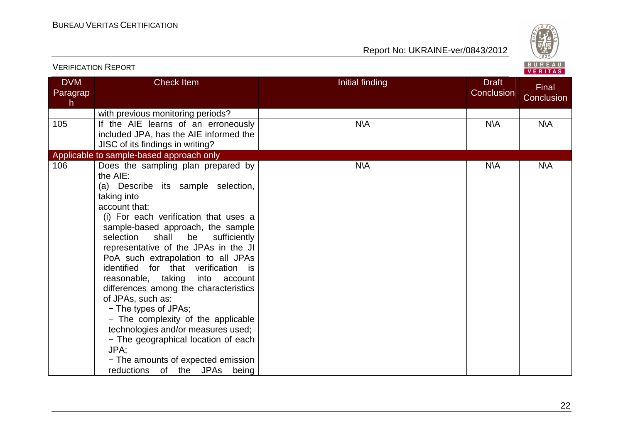

|                             | <b>VERIFICATION REPORT</b>                                                                                                                                                                                                                                                                                                                                                                                                                                                                                                                                                                                                                                 |                 |                            | BUREAU<br><b>VERITAS</b>   |
|-----------------------------|------------------------------------------------------------------------------------------------------------------------------------------------------------------------------------------------------------------------------------------------------------------------------------------------------------------------------------------------------------------------------------------------------------------------------------------------------------------------------------------------------------------------------------------------------------------------------------------------------------------------------------------------------------|-----------------|----------------------------|----------------------------|
| <b>DVM</b><br>Paragrap<br>h | <b>Check Item</b>                                                                                                                                                                                                                                                                                                                                                                                                                                                                                                                                                                                                                                          | Initial finding | <b>Draft</b><br>Conclusion | <b>Final</b><br>Conclusion |
| 105                         | with previous monitoring periods?<br>If the AIE learns of an erroneously<br>included JPA, has the AIE informed the<br>JISC of its findings in writing?                                                                                                                                                                                                                                                                                                                                                                                                                                                                                                     | <b>N\A</b>      | N\A                        | <b>N\A</b>                 |
| 106                         | Applicable to sample-based approach only<br>Does the sampling plan prepared by                                                                                                                                                                                                                                                                                                                                                                                                                                                                                                                                                                             | N\A             | <b>NVA</b>                 | <b>N\A</b>                 |
|                             | the AIE:<br>(a) Describe its sample selection,<br>taking into<br>account that:<br>(i) For each verification that uses a<br>sample-based approach, the sample<br>shall<br>selection<br>be<br>sufficiently<br>representative of the JPAs in the JI<br>PoA such extrapolation to all JPAs<br>identified for that verification is<br>reasonable, taking into account<br>differences among the characteristics<br>of JPAs, such as:<br>- The types of JPAs;<br>- The complexity of the applicable<br>technologies and/or measures used;<br>- The geographical location of each<br>JPA:<br>- The amounts of expected emission<br>reductions of the JPAs<br>being |                 |                            |                            |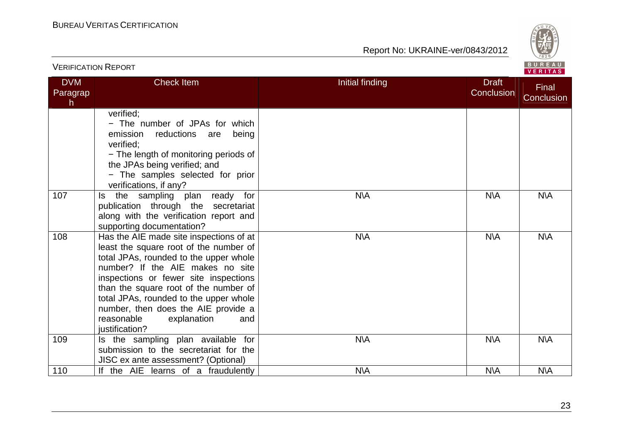

| <b>VERIFICATION REPORT</b>  |                                                                                                                                                                                                                                                                                                                                                                                          |                                               | BUREAU<br>VERITAS   |
|-----------------------------|------------------------------------------------------------------------------------------------------------------------------------------------------------------------------------------------------------------------------------------------------------------------------------------------------------------------------------------------------------------------------------------|-----------------------------------------------|---------------------|
| <b>DVM</b><br>Paragrap<br>h | <b>Check Item</b>                                                                                                                                                                                                                                                                                                                                                                        | Initial finding<br><b>Draft</b><br>Conclusion | Final<br>Conclusion |
|                             | verified;<br>- The number of JPAs for which<br>emission<br>reductions<br>being<br>are<br>verified;<br>- The length of monitoring periods of<br>the JPAs being verified; and<br>- The samples selected for prior<br>verifications, if any?                                                                                                                                                |                                               |                     |
| 107                         | the sampling plan ready for<br>Is.<br>publication through the secretariat<br>along with the verification report and<br>supporting documentation?                                                                                                                                                                                                                                         | N\A<br>N\A                                    | N\A                 |
| 108                         | Has the AIE made site inspections of at<br>least the square root of the number of<br>total JPAs, rounded to the upper whole<br>number? If the AIE makes no site<br>inspections or fewer site inspections<br>than the square root of the number of<br>total JPAs, rounded to the upper whole<br>number, then does the AIE provide a<br>reasonable<br>explanation<br>and<br>justification? | <b>N\A</b><br>N\A                             | <b>N\A</b>          |
| 109                         | Is the sampling plan available for<br>submission to the secretariat for the<br>JISC ex ante assessment? (Optional)                                                                                                                                                                                                                                                                       | N\A<br>N\A                                    | N\A                 |
| 110                         | If the AIE learns of a fraudulently                                                                                                                                                                                                                                                                                                                                                      | <b>N\A</b><br>N\A                             | <b>N\A</b>          |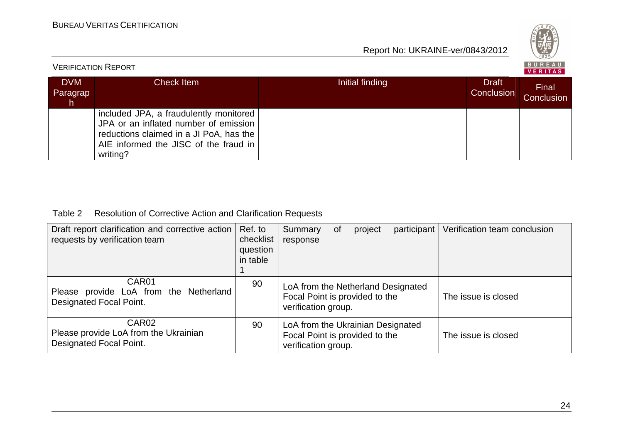

| <b>VERIFICATION REPORT</b>   |                                                                                                                                                                                 |                 |                            |                     |  |
|------------------------------|---------------------------------------------------------------------------------------------------------------------------------------------------------------------------------|-----------------|----------------------------|---------------------|--|
| <b>DVM</b><br>Paragrap<br>h. | <b>Check Item</b>                                                                                                                                                               | Initial finding | <b>Draft</b><br>Conclusion | Final<br>Conclusion |  |
|                              | included JPA, a fraudulently monitored<br>JPA or an inflated number of emission<br>reductions claimed in a JI PoA, has the<br>AIE informed the JISC of the fraud in<br>writing? |                 |                            |                     |  |

#### Table 2 Resolution of Corrective Action and Clarification Requests

| Draft report clarification and corrective action<br>requests by verification team     | Ref. to<br>checklist<br>question<br>in table | Summary<br>response                                                                         | 0f | project | participant | Verification team conclusion |
|---------------------------------------------------------------------------------------|----------------------------------------------|---------------------------------------------------------------------------------------------|----|---------|-------------|------------------------------|
| CAR01<br>Please provide LoA from the Netherland<br>Designated Focal Point.            | 90                                           | LoA from the Netherland Designated<br>Focal Point is provided to the<br>verification group. |    |         |             | The issue is closed          |
| CAR <sub>02</sub><br>Please provide LoA from the Ukrainian<br>Designated Focal Point. | 90                                           | LoA from the Ukrainian Designated<br>Focal Point is provided to the<br>verification group.  |    |         |             | The issue is closed          |